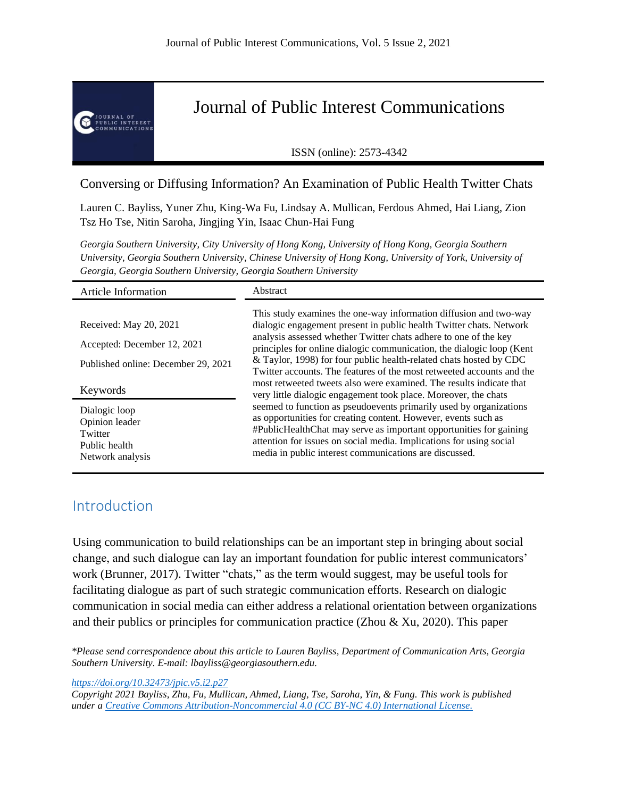

Journal of Public Interest Communications

ISSN (online): 2573-4342

# Conversing or Diffusing Information? An Examination of Public Health Twitter Chats

Lauren C. Bayliss, Yuner Zhu, King-Wa Fu, Lindsay A. Mullican, Ferdous Ahmed, Hai Liang, Zion Tsz Ho Tse, Nitin Saroha, Jingjing Yin, Isaac Chun-Hai Fung

*Georgia Southern University, City University of Hong Kong, University of Hong Kong, Georgia Southern University, Georgia Southern University, Chinese University of Hong Kong, University of York, University of Georgia, Georgia Southern University, Georgia Southern University*

| <b>Article Information</b>                                                      | Abstract                                                                                                                                                                                                                                                                                                                                    |
|---------------------------------------------------------------------------------|---------------------------------------------------------------------------------------------------------------------------------------------------------------------------------------------------------------------------------------------------------------------------------------------------------------------------------------------|
|                                                                                 | This study examines the one-way information diffusion and two-way                                                                                                                                                                                                                                                                           |
| Received: May 20, 2021                                                          | dialogic engagement present in public health Twitter chats. Network                                                                                                                                                                                                                                                                         |
| Accepted: December 12, 2021                                                     | analysis assessed whether Twitter chats adhere to one of the key<br>principles for online dialogic communication, the dialogic loop (Kent                                                                                                                                                                                                   |
| Published online: December 29, 2021                                             | & Taylor, 1998) for four public health-related chats hosted by CDC<br>Twitter accounts. The features of the most retweeted accounts and the                                                                                                                                                                                                 |
| Keywords                                                                        | most retweeted tweets also were examined. The results indicate that<br>very little dialogic engagement took place. Moreover, the chats                                                                                                                                                                                                      |
| Dialogic loop<br>Opinion leader<br>Twitter<br>Public health<br>Network analysis | seemed to function as pseudoevents primarily used by organizations<br>as opportunities for creating content. However, events such as<br>#PublicHealthChat may serve as important opportunities for gaining<br>attention for issues on social media. Implications for using social<br>media in public interest communications are discussed. |

# Introduction

Using communication to build relationships can be an important step in bringing about social change, and such dialogue can lay an important foundation for public interest communicators' work (Brunner, 2017). Twitter "chats," as the term would suggest, may be useful tools for facilitating dialogue as part of such strategic communication efforts. Research on dialogic communication in social media can either address a relational orientation between organizations and their publics or principles for communication practice (Zhou & Xu, 2020). This paper

*\*Please send correspondence about this article to Lauren Bayliss, Department of Communication Arts, Georgia Southern University. E-mail: lbayliss@georgiasouthern.edu.*

*<https://doi.org/10.32473/jpic.v5.i2.p27>*

*Copyright 2021 Bayliss, Zhu, Fu, Mullican, Ahmed, Liang, Tse, Saroha, Yin, & Fung. This work is published under [a Creative Commons Attribution-Noncommercial 4.0 \(CC BY-NC 4.0\) International License.](https://creativecommons.org/licenses/by-nc/4.0/legalcode)*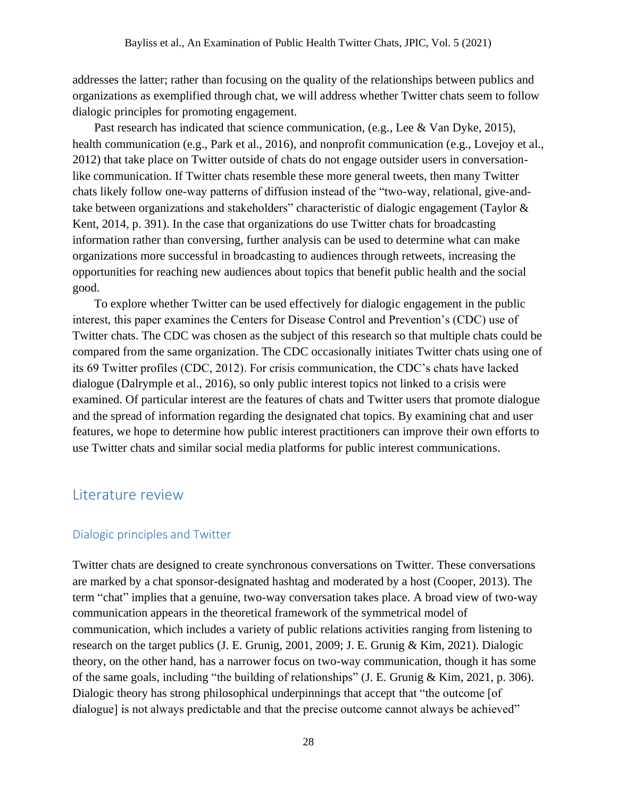addresses the latter; rather than focusing on the quality of the relationships between publics and organizations as exemplified through chat, we will address whether Twitter chats seem to follow dialogic principles for promoting engagement.

Past research has indicated that science communication, (e.g., Lee & Van Dyke, 2015), health communication (e.g., Park et al., 2016), and nonprofit communication (e.g., Lovejoy et al., 2012) that take place on Twitter outside of chats do not engage outsider users in conversationlike communication. If Twitter chats resemble these more general tweets, then many Twitter chats likely follow one-way patterns of diffusion instead of the "two-way, relational, give-andtake between organizations and stakeholders" characteristic of dialogic engagement (Taylor & Kent, 2014, p. 391). In the case that organizations do use Twitter chats for broadcasting information rather than conversing, further analysis can be used to determine what can make organizations more successful in broadcasting to audiences through retweets, increasing the opportunities for reaching new audiences about topics that benefit public health and the social good.

To explore whether Twitter can be used effectively for dialogic engagement in the public interest, this paper examines the Centers for Disease Control and Prevention's (CDC) use of Twitter chats. The CDC was chosen as the subject of this research so that multiple chats could be compared from the same organization. The CDC occasionally initiates Twitter chats using one of its 69 Twitter profiles (CDC, 2012). For crisis communication, the CDC's chats have lacked dialogue (Dalrymple et al., 2016), so only public interest topics not linked to a crisis were examined. Of particular interest are the features of chats and Twitter users that promote dialogue and the spread of information regarding the designated chat topics. By examining chat and user features, we hope to determine how public interest practitioners can improve their own efforts to use Twitter chats and similar social media platforms for public interest communications.

## Literature review

#### Dialogic principles and Twitter

Twitter chats are designed to create synchronous conversations on Twitter. These conversations are marked by a chat sponsor-designated hashtag and moderated by a host (Cooper, 2013). The term "chat" implies that a genuine, two-way conversation takes place. A broad view of two-way communication appears in the theoretical framework of the symmetrical model of communication, which includes a variety of public relations activities ranging from listening to research on the target publics (J. E. Grunig, 2001, 2009; J. E. Grunig & Kim, 2021). Dialogic theory, on the other hand, has a narrower focus on two-way communication, though it has some of the same goals, including "the building of relationships" (J. E. Grunig & Kim, 2021, p. 306). Dialogic theory has strong philosophical underpinnings that accept that "the outcome [of dialogue] is not always predictable and that the precise outcome cannot always be achieved"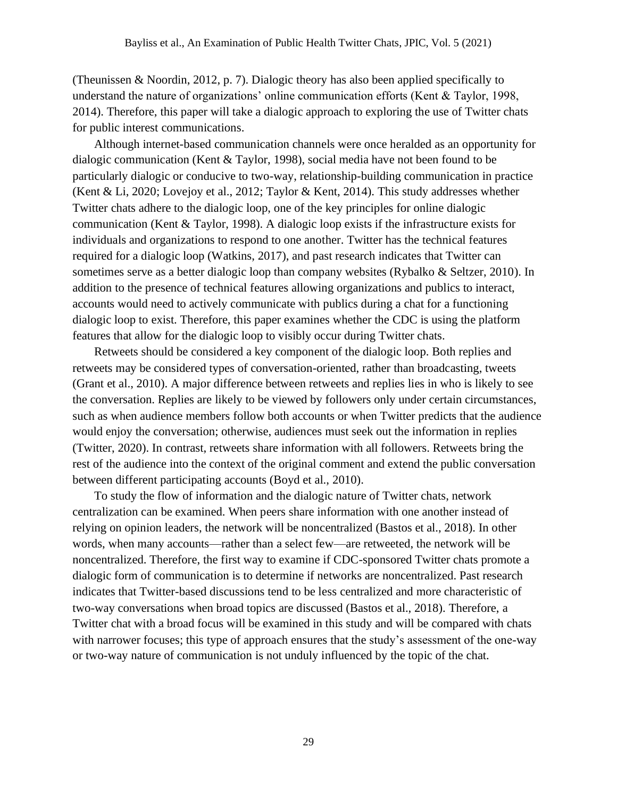(Theunissen & Noordin, 2012, p. 7). Dialogic theory has also been applied specifically to understand the nature of organizations' online communication efforts (Kent & Taylor, 1998, 2014). Therefore, this paper will take a dialogic approach to exploring the use of Twitter chats for public interest communications.

Although internet-based communication channels were once heralded as an opportunity for dialogic communication (Kent & Taylor, 1998), social media have not been found to be particularly dialogic or conducive to two-way, relationship-building communication in practice (Kent & Li, 2020; Lovejoy et al., 2012; Taylor & Kent, 2014). This study addresses whether Twitter chats adhere to the dialogic loop, one of the key principles for online dialogic communication (Kent & Taylor, 1998). A dialogic loop exists if the infrastructure exists for individuals and organizations to respond to one another. Twitter has the technical features required for a dialogic loop (Watkins, 2017), and past research indicates that Twitter can sometimes serve as a better dialogic loop than company websites (Rybalko & Seltzer, 2010). In addition to the presence of technical features allowing organizations and publics to interact, accounts would need to actively communicate with publics during a chat for a functioning dialogic loop to exist. Therefore, this paper examines whether the CDC is using the platform features that allow for the dialogic loop to visibly occur during Twitter chats.

Retweets should be considered a key component of the dialogic loop. Both replies and retweets may be considered types of conversation-oriented, rather than broadcasting, tweets (Grant et al., 2010). A major difference between retweets and replies lies in who is likely to see the conversation. Replies are likely to be viewed by followers only under certain circumstances, such as when audience members follow both accounts or when Twitter predicts that the audience would enjoy the conversation; otherwise, audiences must seek out the information in replies (Twitter, 2020). In contrast, retweets share information with all followers. Retweets bring the rest of the audience into the context of the original comment and extend the public conversation between different participating accounts (Boyd et al., 2010).

To study the flow of information and the dialogic nature of Twitter chats, network centralization can be examined. When peers share information with one another instead of relying on opinion leaders, the network will be noncentralized (Bastos et al., 2018). In other words, when many accounts—rather than a select few—are retweeted, the network will be noncentralized. Therefore, the first way to examine if CDC-sponsored Twitter chats promote a dialogic form of communication is to determine if networks are noncentralized. Past research indicates that Twitter-based discussions tend to be less centralized and more characteristic of two-way conversations when broad topics are discussed (Bastos et al., 2018). Therefore, a Twitter chat with a broad focus will be examined in this study and will be compared with chats with narrower focuses; this type of approach ensures that the study's assessment of the one-way or two-way nature of communication is not unduly influenced by the topic of the chat.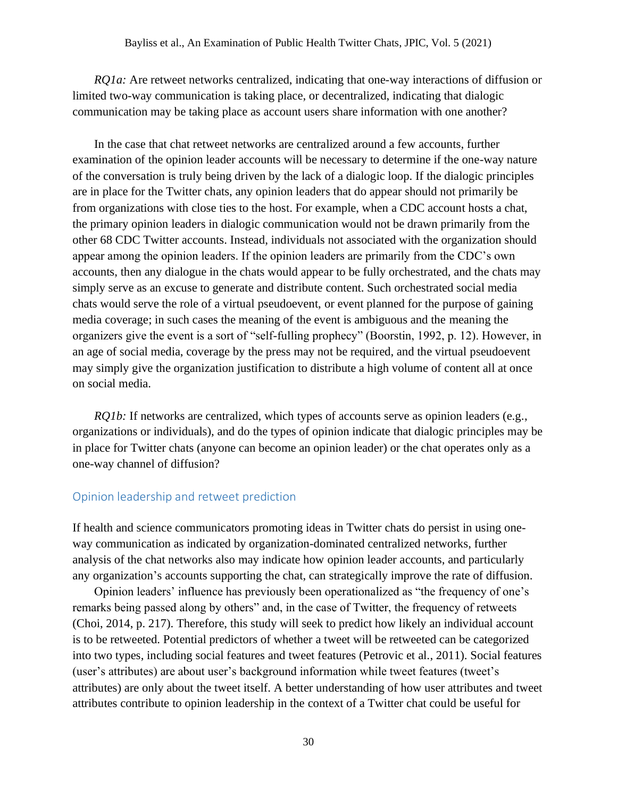*RQ1a:* Are retweet networks centralized, indicating that one-way interactions of diffusion or limited two-way communication is taking place, or decentralized, indicating that dialogic communication may be taking place as account users share information with one another?

In the case that chat retweet networks are centralized around a few accounts, further examination of the opinion leader accounts will be necessary to determine if the one-way nature of the conversation is truly being driven by the lack of a dialogic loop. If the dialogic principles are in place for the Twitter chats, any opinion leaders that do appear should not primarily be from organizations with close ties to the host. For example, when a CDC account hosts a chat, the primary opinion leaders in dialogic communication would not be drawn primarily from the other 68 CDC Twitter accounts. Instead, individuals not associated with the organization should appear among the opinion leaders. If the opinion leaders are primarily from the CDC's own accounts, then any dialogue in the chats would appear to be fully orchestrated, and the chats may simply serve as an excuse to generate and distribute content. Such orchestrated social media chats would serve the role of a virtual pseudoevent, or event planned for the purpose of gaining media coverage; in such cases the meaning of the event is ambiguous and the meaning the organizers give the event is a sort of "self-fulling prophecy" (Boorstin, 1992, p. 12). However, in an age of social media, coverage by the press may not be required, and the virtual pseudoevent may simply give the organization justification to distribute a high volume of content all at once on social media.

*RQ1b:* If networks are centralized, which types of accounts serve as opinion leaders (e.g., organizations or individuals), and do the types of opinion indicate that dialogic principles may be in place for Twitter chats (anyone can become an opinion leader) or the chat operates only as a one-way channel of diffusion?

#### Opinion leadership and retweet prediction

If health and science communicators promoting ideas in Twitter chats do persist in using oneway communication as indicated by organization-dominated centralized networks, further analysis of the chat networks also may indicate how opinion leader accounts, and particularly any organization's accounts supporting the chat, can strategically improve the rate of diffusion.

Opinion leaders' influence has previously been operationalized as "the frequency of one's remarks being passed along by others" and, in the case of Twitter, the frequency of retweets (Choi, 2014, p. 217). Therefore, this study will seek to predict how likely an individual account is to be retweeted. Potential predictors of whether a tweet will be retweeted can be categorized into two types, including social features and tweet features (Petrovic et al., 2011). Social features (user's attributes) are about user's background information while tweet features (tweet's attributes) are only about the tweet itself. A better understanding of how user attributes and tweet attributes contribute to opinion leadership in the context of a Twitter chat could be useful for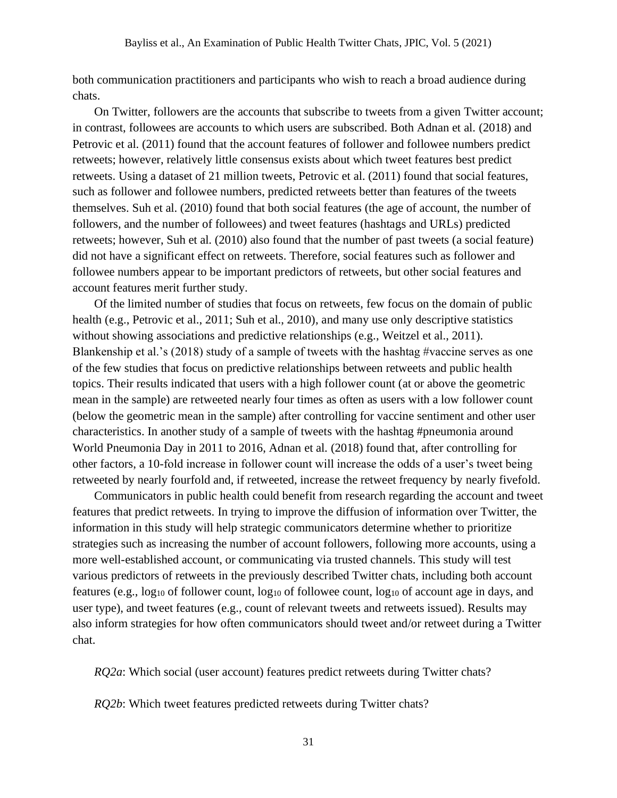both communication practitioners and participants who wish to reach a broad audience during chats.

On Twitter, followers are the accounts that subscribe to tweets from a given Twitter account; in contrast, followees are accounts to which users are subscribed. Both Adnan et al. (2018) and Petrovic et al. (2011) found that the account features of follower and followee numbers predict retweets; however, relatively little consensus exists about which tweet features best predict retweets. Using a dataset of 21 million tweets, Petrovic et al. (2011) found that social features, such as follower and followee numbers, predicted retweets better than features of the tweets themselves. Suh et al. (2010) found that both social features (the age of account, the number of followers, and the number of followees) and tweet features (hashtags and URLs) predicted retweets; however, Suh et al. (2010) also found that the number of past tweets (a social feature) did not have a significant effect on retweets. Therefore, social features such as follower and followee numbers appear to be important predictors of retweets, but other social features and account features merit further study.

Of the limited number of studies that focus on retweets, few focus on the domain of public health (e.g., Petrovic et al., 2011; Suh et al., 2010), and many use only descriptive statistics without showing associations and predictive relationships (e.g., Weitzel et al., 2011). Blankenship et al.'s (2018) study of a sample of tweets with the hashtag #vaccine serves as one of the few studies that focus on predictive relationships between retweets and public health topics. Their results indicated that users with a high follower count (at or above the geometric mean in the sample) are retweeted nearly four times as often as users with a low follower count (below the geometric mean in the sample) after controlling for vaccine sentiment and other user characteristics. In another study of a sample of tweets with the hashtag #pneumonia around World Pneumonia Day in 2011 to 2016, Adnan et al. (2018) found that, after controlling for other factors, a 10-fold increase in follower count will increase the odds of a user's tweet being retweeted by nearly fourfold and, if retweeted, increase the retweet frequency by nearly fivefold.

Communicators in public health could benefit from research regarding the account and tweet features that predict retweets. In trying to improve the diffusion of information over Twitter, the information in this study will help strategic communicators determine whether to prioritize strategies such as increasing the number of account followers, following more accounts, using a more well-established account, or communicating via trusted channels. This study will test various predictors of retweets in the previously described Twitter chats, including both account features (e.g., log<sup>10</sup> of follower count, log<sup>10</sup> of followee count, log<sup>10</sup> of account age in days, and user type), and tweet features (e.g., count of relevant tweets and retweets issued). Results may also inform strategies for how often communicators should tweet and/or retweet during a Twitter chat.

*RQ2a*: Which social (user account) features predict retweets during Twitter chats?

*RQ2b*: Which tweet features predicted retweets during Twitter chats?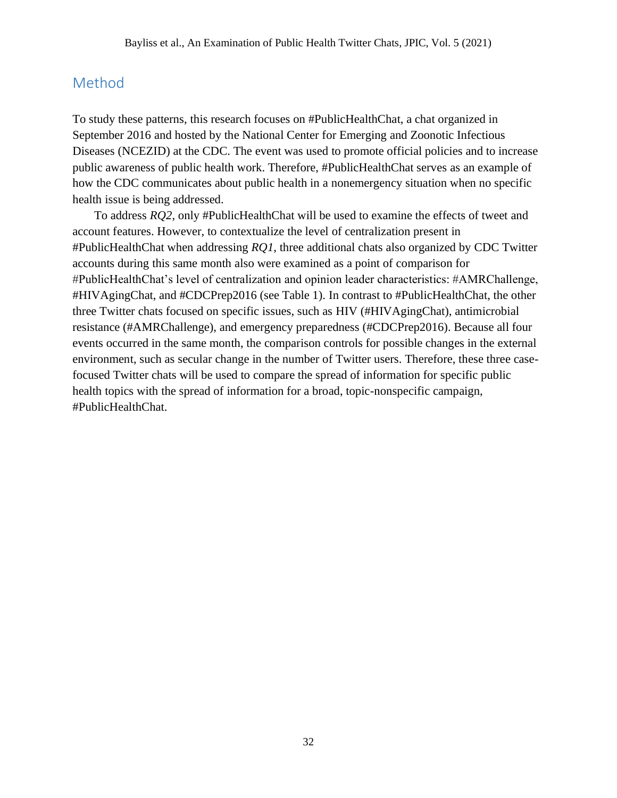# Method

To study these patterns, this research focuses on #PublicHealthChat, a chat organized in September 2016 and hosted by the National Center for Emerging and Zoonotic Infectious Diseases (NCEZID) at the CDC. The event was used to promote official policies and to increase public awareness of public health work. Therefore, #PublicHealthChat serves as an example of how the CDC communicates about public health in a nonemergency situation when no specific health issue is being addressed.

To address *RQ2*, only #PublicHealthChat will be used to examine the effects of tweet and account features. However, to contextualize the level of centralization present in #PublicHealthChat when addressing *RQ1*, three additional chats also organized by CDC Twitter accounts during this same month also were examined as a point of comparison for #PublicHealthChat's level of centralization and opinion leader characteristics: #AMRChallenge, #HIVAgingChat, and #CDCPrep2016 (see Table 1). In contrast to #PublicHealthChat, the other three Twitter chats focused on specific issues, such as HIV (#HIVAgingChat), antimicrobial resistance (#AMRChallenge), and emergency preparedness (#CDCPrep2016). Because all four events occurred in the same month, the comparison controls for possible changes in the external environment, such as secular change in the number of Twitter users. Therefore, these three casefocused Twitter chats will be used to compare the spread of information for specific public health topics with the spread of information for a broad, topic-nonspecific campaign, #PublicHealthChat.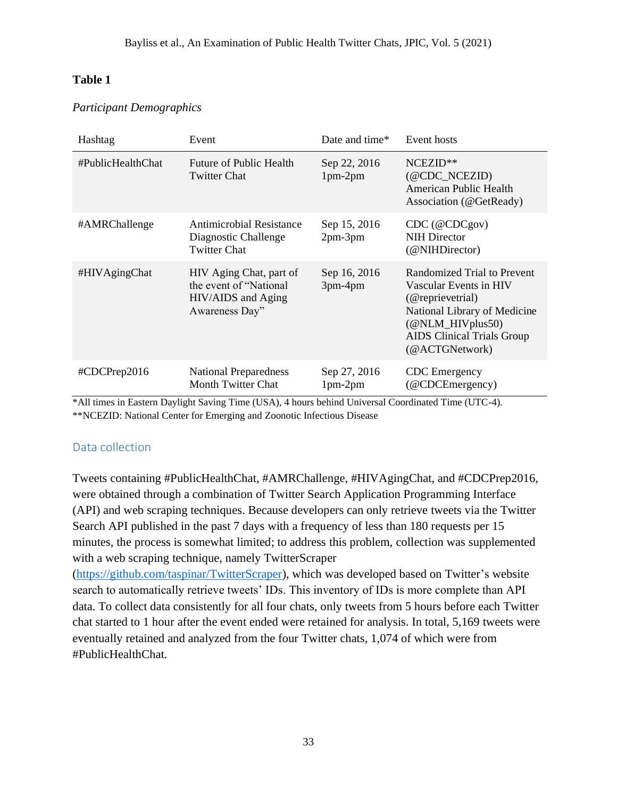## *Participant Demographics*

| Hashtag           | Event                                                                                      | Date and time*            | Event hosts                                                                                                                                                                                             |
|-------------------|--------------------------------------------------------------------------------------------|---------------------------|---------------------------------------------------------------------------------------------------------------------------------------------------------------------------------------------------------|
| #PublicHealthChat | Future of Public Health<br><b>Twitter Chat</b>                                             | Sep 22, 2016<br>$1pm-2pm$ | NCEZID**<br>$(\text{\&CDC\_NCEZID})$<br>American Public Health<br>Association (@GetReady)                                                                                                               |
| #AMRChallenge     | <b>Antimicrobial Resistance</b><br>Diagnostic Challenge<br><b>Twitter Chat</b>             | Sep 15, 2016<br>$2pm-3pm$ | CDC (@CDC.gov)<br><b>NIH Director</b><br>(@NIHDirector)                                                                                                                                                 |
| #HIVAgingChat     | HIV Aging Chat, part of<br>the event of "National"<br>HIV/AIDS and Aging<br>Awareness Day" | Sep 16, 2016<br>$3pm-4pm$ | Randomized Trial to Prevent<br>Vascular Events in HIV<br>(@reprievetrial)<br>National Library of Medicine<br>$(\textcircled{a}$ NLM_HIV plus 50)<br><b>AIDS</b> Clinical Trials Group<br>(@ACTGNetwork) |
| #CDCPrep2016      | <b>National Preparedness</b><br><b>Month Twitter Chat</b>                                  | Sep 27, 2016<br>$1pm-2pm$ | <b>CDC</b> Emergency<br>(@CDCEmergency)                                                                                                                                                                 |

\*All times in Eastern Daylight Saving Time (USA), 4 hours behind Universal Coordinated Time (UTC-4). \*\*NCEZID: National Center for Emerging and Zoonotic Infectious Disease

# Data collection

Tweets containing #PublicHealthChat, #AMRChallenge, #HIVAgingChat, and #CDCPrep2016, were obtained through a combination of Twitter Search Application Programming Interface (API) and web scraping techniques. Because developers can only retrieve tweets via the Twitter Search API published in the past 7 days with a frequency of less than 180 requests per 15 minutes, the process is somewhat limited; to address this problem, collection was supplemented with a web scraping technique, namely TwitterScraper

[\(https://github.com/taspinar/TwitterScraper\)](https://github.com/taspinar/TwitterScraper), which was developed based on Twitter's website search to automatically retrieve tweets' IDs. This inventory of IDs is more complete than API data. To collect data consistently for all four chats, only tweets from 5 hours before each Twitter chat started to 1 hour after the event ended were retained for analysis. In total, 5,169 tweets were eventually retained and analyzed from the four Twitter chats, 1,074 of which were from #PublicHealthChat.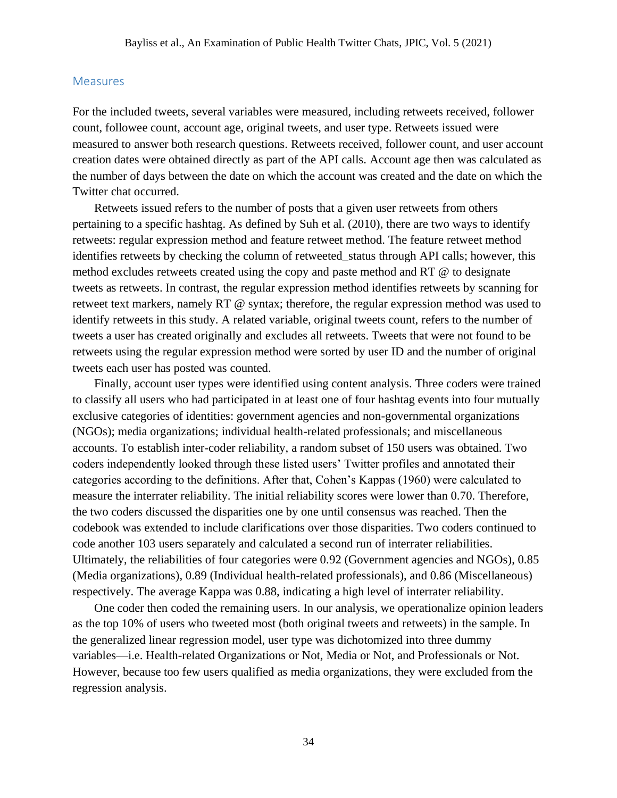#### **Measures**

For the included tweets, several variables were measured, including retweets received, follower count, followee count, account age, original tweets, and user type. Retweets issued were measured to answer both research questions. Retweets received, follower count, and user account creation dates were obtained directly as part of the API calls. Account age then was calculated as the number of days between the date on which the account was created and the date on which the Twitter chat occurred.

Retweets issued refers to the number of posts that a given user retweets from others pertaining to a specific hashtag. As defined by Suh et al. (2010), there are two ways to identify retweets: regular expression method and feature retweet method. The feature retweet method identifies retweets by checking the column of retweeted\_status through API calls; however, this method excludes retweets created using the copy and paste method and RT @ to designate tweets as retweets. In contrast, the regular expression method identifies retweets by scanning for retweet text markers, namely RT @ syntax; therefore, the regular expression method was used to identify retweets in this study. A related variable, original tweets count, refers to the number of tweets a user has created originally and excludes all retweets. Tweets that were not found to be retweets using the regular expression method were sorted by user ID and the number of original tweets each user has posted was counted.

Finally, account user types were identified using content analysis. Three coders were trained to classify all users who had participated in at least one of four hashtag events into four mutually exclusive categories of identities: government agencies and non-governmental organizations (NGOs); media organizations; individual health-related professionals; and miscellaneous accounts. To establish inter-coder reliability, a random subset of 150 users was obtained. Two coders independently looked through these listed users' Twitter profiles and annotated their categories according to the definitions. After that, Cohen's Kappas (1960) were calculated to measure the interrater reliability. The initial reliability scores were lower than 0.70. Therefore, the two coders discussed the disparities one by one until consensus was reached. Then the codebook was extended to include clarifications over those disparities. Two coders continued to code another 103 users separately and calculated a second run of interrater reliabilities. Ultimately, the reliabilities of four categories were 0.92 (Government agencies and NGOs), 0.85 (Media organizations), 0.89 (Individual health-related professionals), and 0.86 (Miscellaneous) respectively. The average Kappa was 0.88, indicating a high level of interrater reliability.

One coder then coded the remaining users. In our analysis, we operationalize opinion leaders as the top 10% of users who tweeted most (both original tweets and retweets) in the sample. In the generalized linear regression model, user type was dichotomized into three dummy variables—i.e. Health-related Organizations or Not, Media or Not, and Professionals or Not. However, because too few users qualified as media organizations, they were excluded from the regression analysis.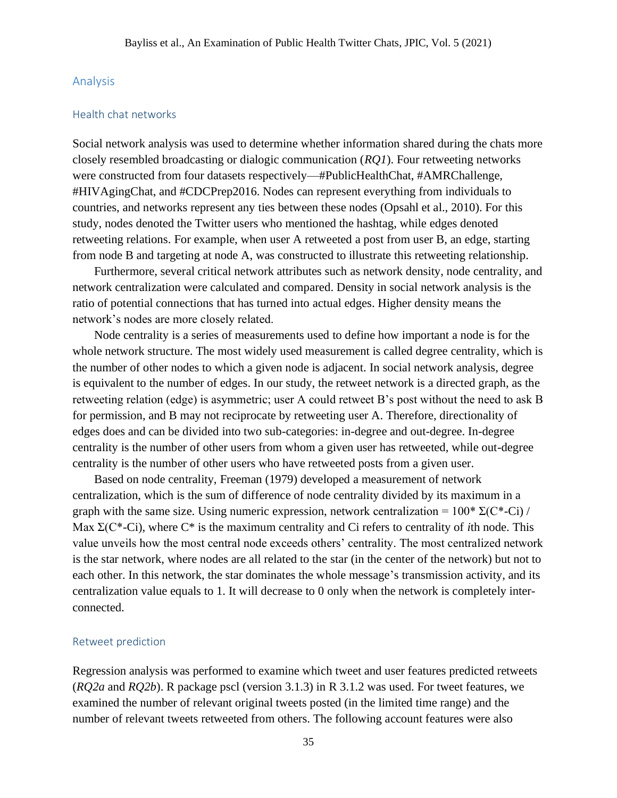#### Analysis

#### Health chat networks

Social network analysis was used to determine whether information shared during the chats more closely resembled broadcasting or dialogic communication (*RQ1*). Four retweeting networks were constructed from four datasets respectively—#PublicHealthChat, #AMRChallenge, #HIVAgingChat, and #CDCPrep2016. Nodes can represent everything from individuals to countries, and networks represent any ties between these nodes (Opsahl et al., 2010). For this study, nodes denoted the Twitter users who mentioned the hashtag, while edges denoted retweeting relations. For example, when user A retweeted a post from user B, an edge, starting from node B and targeting at node A, was constructed to illustrate this retweeting relationship.

Furthermore, several critical network attributes such as network density, node centrality, and network centralization were calculated and compared. Density in social network analysis is the ratio of potential connections that has turned into actual edges. Higher density means the network's nodes are more closely related.

Node centrality is a series of measurements used to define how important a node is for the whole network structure. The most widely used measurement is called degree centrality, which is the number of other nodes to which a given node is adjacent. In social network analysis, degree is equivalent to the number of edges. In our study, the retweet network is a directed graph, as the retweeting relation (edge) is asymmetric; user A could retweet B's post without the need to ask B for permission, and B may not reciprocate by retweeting user A. Therefore, directionality of edges does and can be divided into two sub-categories: in-degree and out-degree. In-degree centrality is the number of other users from whom a given user has retweeted, while out-degree centrality is the number of other users who have retweeted posts from a given user.

Based on node centrality, Freeman (1979) developed a measurement of network centralization, which is the sum of difference of node centrality divided by its maximum in a graph with the same size. Using numeric expression, network centralization =  $100^* \Sigma (C^* - Ci)$  / Max Σ(C\*-Ci), where C\* is the maximum centrality and Ci refers to centrality of *i*th node. This value unveils how the most central node exceeds others' centrality. The most centralized network is the star network, where nodes are all related to the star (in the center of the network) but not to each other. In this network, the star dominates the whole message's transmission activity, and its centralization value equals to 1. It will decrease to 0 only when the network is completely interconnected.

#### Retweet prediction

Regression analysis was performed to examine which tweet and user features predicted retweets (*RQ2a* and *RQ2b*). R package pscl (version 3.1.3) in R 3.1.2 was used. For tweet features, we examined the number of relevant original tweets posted (in the limited time range) and the number of relevant tweets retweeted from others. The following account features were also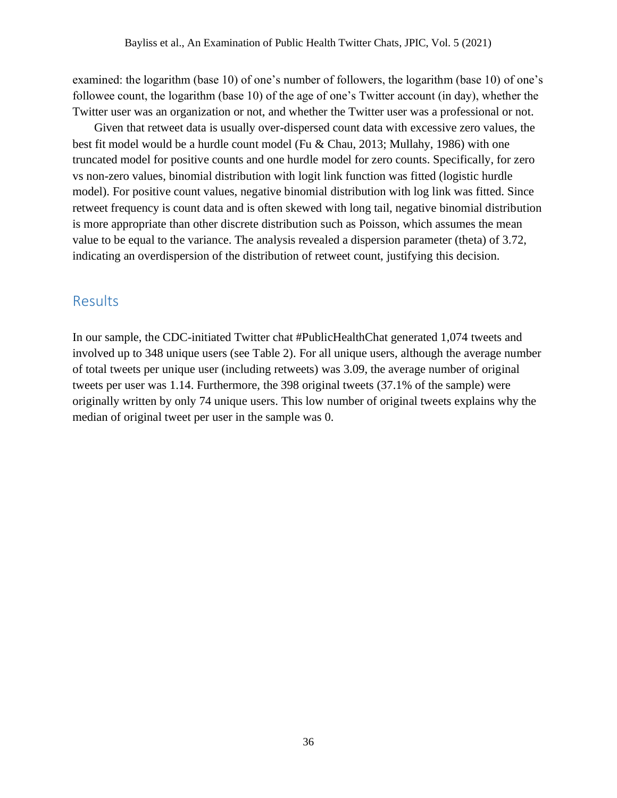examined: the logarithm (base 10) of one's number of followers, the logarithm (base 10) of one's followee count, the logarithm (base 10) of the age of one's Twitter account (in day), whether the Twitter user was an organization or not, and whether the Twitter user was a professional or not.

Given that retweet data is usually over-dispersed count data with excessive zero values, the best fit model would be a hurdle count model (Fu & Chau, 2013; Mullahy, 1986) with one truncated model for positive counts and one hurdle model for zero counts. Specifically, for zero vs non-zero values, binomial distribution with logit link function was fitted (logistic hurdle model). For positive count values, negative binomial distribution with log link was fitted. Since retweet frequency is count data and is often skewed with long tail, negative binomial distribution is more appropriate than other discrete distribution such as Poisson, which assumes the mean value to be equal to the variance. The analysis revealed a dispersion parameter (theta) of 3.72, indicating an overdispersion of the distribution of retweet count, justifying this decision.

## **Results**

In our sample, the CDC-initiated Twitter chat #PublicHealthChat generated 1,074 tweets and involved up to 348 unique users (see Table 2). For all unique users, although the average number of total tweets per unique user (including retweets) was 3.09, the average number of original tweets per user was 1.14. Furthermore, the 398 original tweets (37.1% of the sample) were originally written by only 74 unique users. This low number of original tweets explains why the median of original tweet per user in the sample was 0.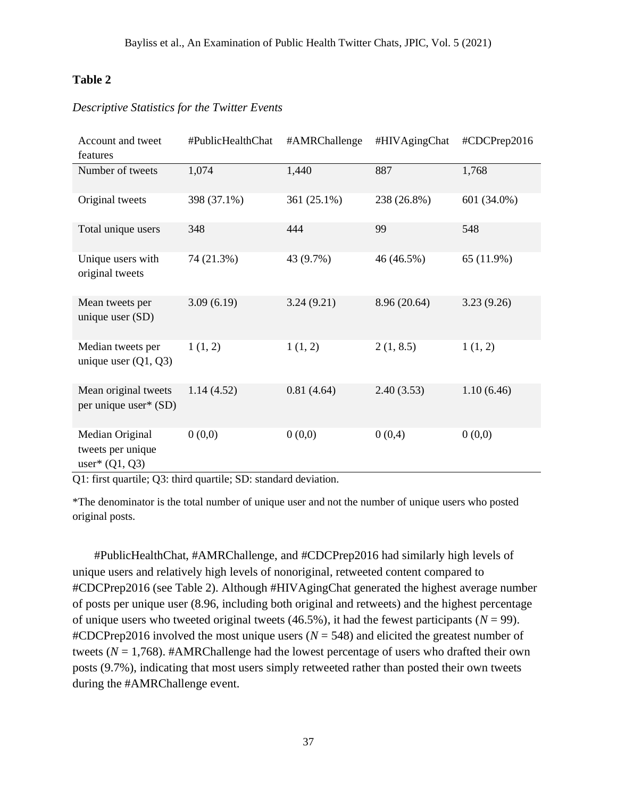| Account and tweet                                        | #PublicHealthChat | #AMRChallenge | #HIVAgingChat | #CDCPrep2016 |
|----------------------------------------------------------|-------------------|---------------|---------------|--------------|
| features                                                 |                   |               |               |              |
| Number of tweets                                         | 1,074             | 1,440         | 887           | 1,768        |
| Original tweets                                          | 398 (37.1%)       | 361 (25.1%)   | 238 (26.8%)   | 601 (34.0%)  |
| Total unique users                                       | 348               | 444           | 99            | 548          |
| Unique users with<br>original tweets                     | 74 (21.3%)        | 43 (9.7%)     | 46 (46.5%)    | 65 (11.9%)   |
| Mean tweets per<br>unique user (SD)                      | 3.09(6.19)        | 3.24(9.21)    | 8.96 (20.64)  | 3.23(9.26)   |
| Median tweets per<br>unique user $(Q1, Q3)$              | 1(1, 2)           | 1(1, 2)       | 2(1, 8.5)     | 1(1, 2)      |
| Mean original tweets<br>per unique user* (SD)            | 1.14(4.52)        | 0.81(4.64)    | 2.40(3.53)    | 1.10(6.46)   |
| Median Original<br>tweets per unique<br>user* $(Q1, Q3)$ | 0(0,0)            | 0(0,0)        | 0(0,4)        | 0(0,0)       |

## *Descriptive Statistics for the Twitter Events*

Q1: first quartile; Q3: third quartile; SD: standard deviation.

\*The denominator is the total number of unique user and not the number of unique users who posted original posts.

#PublicHealthChat, #AMRChallenge, and #CDCPrep2016 had similarly high levels of unique users and relatively high levels of nonoriginal, retweeted content compared to #CDCPrep2016 (see Table 2). Although #HIVAgingChat generated the highest average number of posts per unique user (8.96, including both original and retweets) and the highest percentage of unique users who tweeted original tweets (46.5%), it had the fewest participants ( $N = 99$ ).  $\text{HCDCPrep2016}$  involved the most unique users ( $N = 548$ ) and elicited the greatest number of tweets (*N* = 1,768). #AMRChallenge had the lowest percentage of users who drafted their own posts (9.7%), indicating that most users simply retweeted rather than posted their own tweets during the #AMRChallenge event.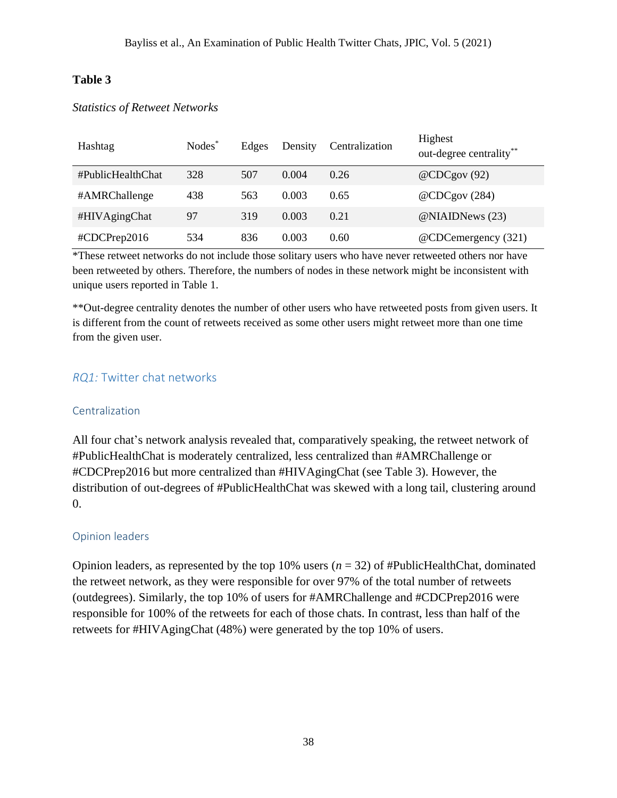| Hashtag           | Nodes <sup>*</sup> | Edges | Density | Centralization | Highest<br>out-degree centrality** |
|-------------------|--------------------|-------|---------|----------------|------------------------------------|
| #PublicHealthChat | 328                | 507   | 0.004   | 0.26           | @CDCgov(92)                        |
| #AMRChallenge     | 438                | 563   | 0.003   | 0.65           | @CDCgov (284)                      |
| #HIVAgingChat     | 97                 | 319   | 0.003   | 0.21           | @NIAIDNews (23)                    |
| #CDCPrep2016      | 534                | 836   | 0.003   | 0.60           | @CDCemergency (321)                |

## *Statistics of Retweet Networks*

\*These retweet networks do not include those solitary users who have never retweeted others nor have been retweeted by others. Therefore, the numbers of nodes in these network might be inconsistent with unique users reported in Table 1.

\*\*Out-degree centrality denotes the number of other users who have retweeted posts from given users. It is different from the count of retweets received as some other users might retweet more than one time from the given user.

## *RQ1:* Twitter chat networks

#### Centralization

All four chat's network analysis revealed that, comparatively speaking, the retweet network of #PublicHealthChat is moderately centralized, less centralized than #AMRChallenge or #CDCPrep2016 but more centralized than #HIVAgingChat (see Table 3). However, the distribution of out-degrees of #PublicHealthChat was skewed with a long tail, clustering around 0.

#### Opinion leaders

Opinion leaders, as represented by the top 10% users (*n* = 32) of #PublicHealthChat, dominated the retweet network, as they were responsible for over 97% of the total number of retweets (outdegrees). Similarly, the top 10% of users for #AMRChallenge and #CDCPrep2016 were responsible for 100% of the retweets for each of those chats. In contrast, less than half of the retweets for #HIVAgingChat (48%) were generated by the top 10% of users.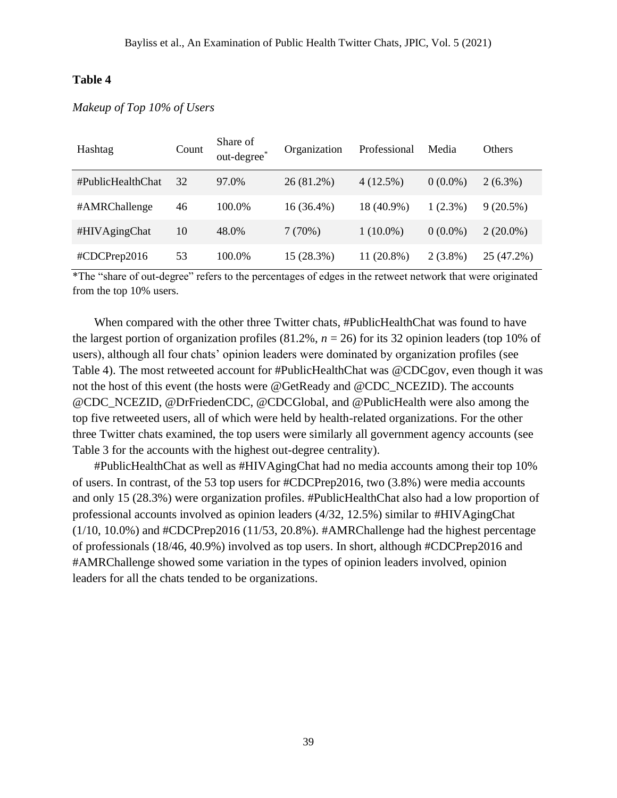| Hashtag           | Count | Share of<br>out-degree* | Organization | Professional | Media      | <b>Others</b> |
|-------------------|-------|-------------------------|--------------|--------------|------------|---------------|
| #PublicHealthChat | 32    | 97.0%                   | $26(81.2\%)$ | $4(12.5\%)$  | $0(0.0\%)$ | $2(6.3\%)$    |
| #AMRChallenge     | 46    | 100.0%                  | $16(36.4\%)$ | 18 (40.9%)   | $1(2.3\%)$ | $9(20.5\%)$   |
| #HIVAgingChat     | 10    | 48.0%                   | 7(70%)       | $1(10.0\%)$  | $0(0.0\%)$ | $2(20.0\%)$   |
| #CDCPrep2016      | 53    | 100.0%                  | 15 (28.3%)   | $11(20.8\%)$ | $2(3.8\%)$ | 25 (47.2%)    |

#### *Makeup of Top 10% of Users*

\*The "share of out-degree" refers to the percentages of edges in the retweet network that were originated from the top 10% users.

When compared with the other three Twitter chats, #PublicHealthChat was found to have the largest portion of organization profiles  $(81.2\% , n = 26)$  for its 32 opinion leaders (top 10% of users), although all four chats' opinion leaders were dominated by organization profiles (see Table 4). The most retweeted account for #PublicHealthChat was @CDCgov, even though it was not the host of this event (the hosts were @GetReady and @CDC\_NCEZID). The accounts @CDC\_NCEZID, @DrFriedenCDC, @CDCGlobal, and @PublicHealth were also among the top five retweeted users, all of which were held by health-related organizations. For the other three Twitter chats examined, the top users were similarly all government agency accounts (see Table 3 for the accounts with the highest out-degree centrality).

#PublicHealthChat as well as #HIVAgingChat had no media accounts among their top 10% of users. In contrast, of the 53 top users for #CDCPrep2016, two (3.8%) were media accounts and only 15 (28.3%) were organization profiles. #PublicHealthChat also had a low proportion of professional accounts involved as opinion leaders (4/32, 12.5%) similar to #HIVAgingChat  $(1/10, 10.0\%)$  and #CDCPrep2016  $(11/53, 20.8\%)$ . #AMRChallenge had the highest percentage of professionals (18/46, 40.9%) involved as top users. In short, although #CDCPrep2016 and #AMRChallenge showed some variation in the types of opinion leaders involved, opinion leaders for all the chats tended to be organizations.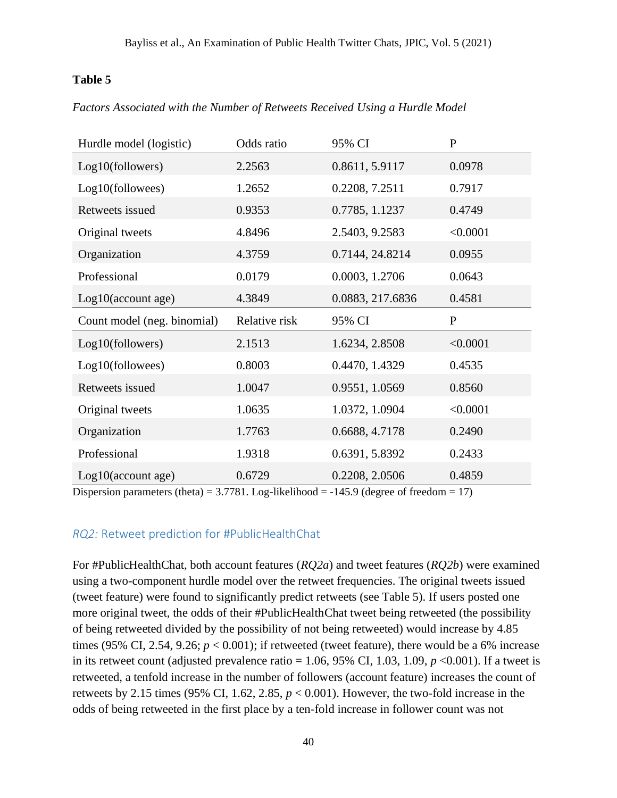## *Factors Associated with the Number of Retweets Received Using a Hurdle Model*

| Hurdle model (logistic)     | Odds ratio    | 95% CI           | $\mathbf P$  |
|-----------------------------|---------------|------------------|--------------|
| Log10(followers)            | 2.2563        | 0.8611, 5.9117   | 0.0978       |
| Log10(followees)            | 1.2652        | 0.2208, 7.2511   | 0.7917       |
| Retweets issued             | 0.9353        | 0.7785, 1.1237   | 0.4749       |
| Original tweets             | 4.8496        | 2.5403, 9.2583   | < 0.0001     |
| Organization                | 4.3759        | 0.7144, 24.8214  | 0.0955       |
| Professional                | 0.0179        | 0.0003, 1.2706   | 0.0643       |
| $Log10$ (account age)       | 4.3849        | 0.0883, 217.6836 | 0.4581       |
|                             |               |                  |              |
| Count model (neg. binomial) | Relative risk | 95% CI           | $\mathbf{P}$ |
| Log10(followers)            | 2.1513        | 1.6234, 2.8508   | < 0.0001     |
| Log10(followees)            | 0.8003        | 0.4470, 1.4329   | 0.4535       |
| Retweets issued             | 1.0047        | 0.9551, 1.0569   | 0.8560       |
| Original tweets             | 1.0635        | 1.0372, 1.0904   | < 0.0001     |
| Organization                | 1.7763        | 0.6688, 4.7178   | 0.2490       |
| Professional                | 1.9318        | 0.6391, 5.8392   | 0.2433       |

Dispersion parameters (theta) =  $3.7781$ . Log-likelihood =  $-145.9$  (degree of freedom = 17)

## *RQ2:* Retweet prediction for #PublicHealthChat

For #PublicHealthChat, both account features (*RQ2a*) and tweet features (*RQ2b*) were examined using a two-component hurdle model over the retweet frequencies. The original tweets issued (tweet feature) were found to significantly predict retweets (see Table 5). If users posted one more original tweet, the odds of their #PublicHealthChat tweet being retweeted (the possibility of being retweeted divided by the possibility of not being retweeted) would increase by 4.85 times (95% CI, 2.54, 9.26;  $p < 0.001$ ); if retweeted (tweet feature), there would be a 6% increase in its retweet count (adjusted prevalence ratio =  $1.06$ ,  $95\%$  CI,  $1.03$ ,  $1.09$ ,  $p < 0.001$ ). If a tweet is retweeted, a tenfold increase in the number of followers (account feature) increases the count of retweets by 2.15 times (95% CI, 1.62, 2.85, *p* < 0.001). However, the two-fold increase in the odds of being retweeted in the first place by a ten-fold increase in follower count was not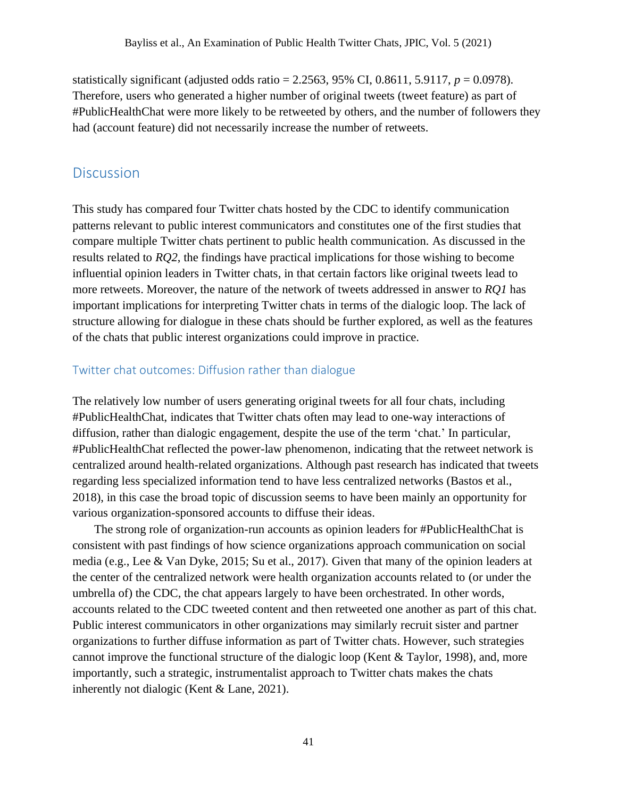statistically significant (adjusted odds ratio = 2.2563, 95% CI, 0.8611, 5.9117,  $p = 0.0978$ ). Therefore, users who generated a higher number of original tweets (tweet feature) as part of #PublicHealthChat were more likely to be retweeted by others, and the number of followers they had (account feature) did not necessarily increase the number of retweets.

## **Discussion**

This study has compared four Twitter chats hosted by the CDC to identify communication patterns relevant to public interest communicators and constitutes one of the first studies that compare multiple Twitter chats pertinent to public health communication. As discussed in the results related to *RQ2*, the findings have practical implications for those wishing to become influential opinion leaders in Twitter chats, in that certain factors like original tweets lead to more retweets. Moreover, the nature of the network of tweets addressed in answer to *RQ1* has important implications for interpreting Twitter chats in terms of the dialogic loop. The lack of structure allowing for dialogue in these chats should be further explored, as well as the features of the chats that public interest organizations could improve in practice.

#### Twitter chat outcomes: Diffusion rather than dialogue

The relatively low number of users generating original tweets for all four chats, including #PublicHealthChat, indicates that Twitter chats often may lead to one-way interactions of diffusion, rather than dialogic engagement, despite the use of the term 'chat.' In particular, #PublicHealthChat reflected the power-law phenomenon, indicating that the retweet network is centralized around health-related organizations. Although past research has indicated that tweets regarding less specialized information tend to have less centralized networks (Bastos et al., 2018), in this case the broad topic of discussion seems to have been mainly an opportunity for various organization-sponsored accounts to diffuse their ideas.

The strong role of organization-run accounts as opinion leaders for #PublicHealthChat is consistent with past findings of how science organizations approach communication on social media (e.g., Lee & Van Dyke, 2015; Su et al., 2017). Given that many of the opinion leaders at the center of the centralized network were health organization accounts related to (or under the umbrella of) the CDC, the chat appears largely to have been orchestrated. In other words, accounts related to the CDC tweeted content and then retweeted one another as part of this chat. Public interest communicators in other organizations may similarly recruit sister and partner organizations to further diffuse information as part of Twitter chats. However, such strategies cannot improve the functional structure of the dialogic loop (Kent & Taylor, 1998), and, more importantly, such a strategic, instrumentalist approach to Twitter chats makes the chats inherently not dialogic (Kent & Lane, 2021).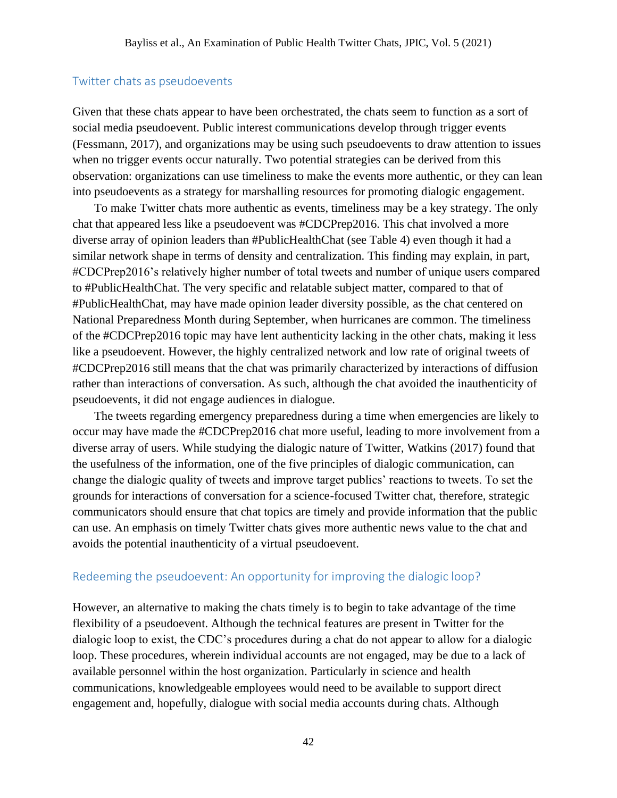### Twitter chats as pseudoevents

Given that these chats appear to have been orchestrated, the chats seem to function as a sort of social media pseudoevent. Public interest communications develop through trigger events (Fessmann, 2017), and organizations may be using such pseudoevents to draw attention to issues when no trigger events occur naturally. Two potential strategies can be derived from this observation: organizations can use timeliness to make the events more authentic, or they can lean into pseudoevents as a strategy for marshalling resources for promoting dialogic engagement.

To make Twitter chats more authentic as events, timeliness may be a key strategy. The only chat that appeared less like a pseudoevent was #CDCPrep2016. This chat involved a more diverse array of opinion leaders than #PublicHealthChat (see Table 4) even though it had a similar network shape in terms of density and centralization. This finding may explain, in part, #CDCPrep2016's relatively higher number of total tweets and number of unique users compared to #PublicHealthChat. The very specific and relatable subject matter, compared to that of #PublicHealthChat, may have made opinion leader diversity possible, as the chat centered on National Preparedness Month during September, when hurricanes are common. The timeliness of the #CDCPrep2016 topic may have lent authenticity lacking in the other chats, making it less like a pseudoevent. However, the highly centralized network and low rate of original tweets of #CDCPrep2016 still means that the chat was primarily characterized by interactions of diffusion rather than interactions of conversation. As such, although the chat avoided the inauthenticity of pseudoevents, it did not engage audiences in dialogue.

The tweets regarding emergency preparedness during a time when emergencies are likely to occur may have made the #CDCPrep2016 chat more useful, leading to more involvement from a diverse array of users. While studying the dialogic nature of Twitter, Watkins (2017) found that the usefulness of the information, one of the five principles of dialogic communication, can change the dialogic quality of tweets and improve target publics' reactions to tweets. To set the grounds for interactions of conversation for a science-focused Twitter chat, therefore, strategic communicators should ensure that chat topics are timely and provide information that the public can use. An emphasis on timely Twitter chats gives more authentic news value to the chat and avoids the potential inauthenticity of a virtual pseudoevent.

## Redeeming the pseudoevent: An opportunity for improving the dialogic loop?

However, an alternative to making the chats timely is to begin to take advantage of the time flexibility of a pseudoevent. Although the technical features are present in Twitter for the dialogic loop to exist, the CDC's procedures during a chat do not appear to allow for a dialogic loop. These procedures, wherein individual accounts are not engaged, may be due to a lack of available personnel within the host organization. Particularly in science and health communications, knowledgeable employees would need to be available to support direct engagement and, hopefully, dialogue with social media accounts during chats. Although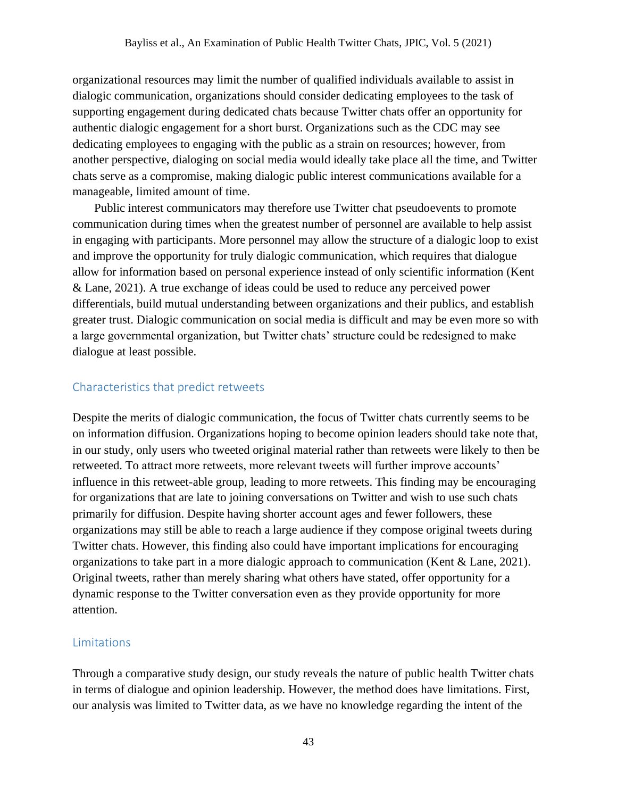organizational resources may limit the number of qualified individuals available to assist in dialogic communication, organizations should consider dedicating employees to the task of supporting engagement during dedicated chats because Twitter chats offer an opportunity for authentic dialogic engagement for a short burst. Organizations such as the CDC may see dedicating employees to engaging with the public as a strain on resources; however, from another perspective, dialoging on social media would ideally take place all the time, and Twitter chats serve as a compromise, making dialogic public interest communications available for a manageable, limited amount of time.

Public interest communicators may therefore use Twitter chat pseudoevents to promote communication during times when the greatest number of personnel are available to help assist in engaging with participants. More personnel may allow the structure of a dialogic loop to exist and improve the opportunity for truly dialogic communication, which requires that dialogue allow for information based on personal experience instead of only scientific information (Kent & Lane, 2021). A true exchange of ideas could be used to reduce any perceived power differentials, build mutual understanding between organizations and their publics, and establish greater trust. Dialogic communication on social media is difficult and may be even more so with a large governmental organization, but Twitter chats' structure could be redesigned to make dialogue at least possible.

## Characteristics that predict retweets

Despite the merits of dialogic communication, the focus of Twitter chats currently seems to be on information diffusion. Organizations hoping to become opinion leaders should take note that, in our study, only users who tweeted original material rather than retweets were likely to then be retweeted. To attract more retweets, more relevant tweets will further improve accounts' influence in this retweet-able group, leading to more retweets. This finding may be encouraging for organizations that are late to joining conversations on Twitter and wish to use such chats primarily for diffusion. Despite having shorter account ages and fewer followers, these organizations may still be able to reach a large audience if they compose original tweets during Twitter chats. However, this finding also could have important implications for encouraging organizations to take part in a more dialogic approach to communication (Kent & Lane, 2021). Original tweets, rather than merely sharing what others have stated, offer opportunity for a dynamic response to the Twitter conversation even as they provide opportunity for more attention.

## Limitations

Through a comparative study design, our study reveals the nature of public health Twitter chats in terms of dialogue and opinion leadership. However, the method does have limitations. First, our analysis was limited to Twitter data, as we have no knowledge regarding the intent of the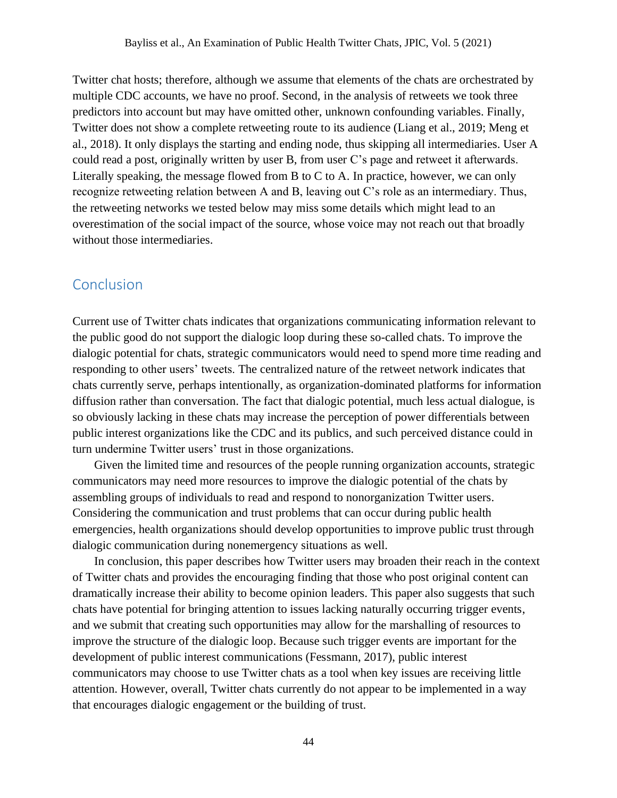Twitter chat hosts; therefore, although we assume that elements of the chats are orchestrated by multiple CDC accounts, we have no proof. Second, in the analysis of retweets we took three predictors into account but may have omitted other, unknown confounding variables. Finally, Twitter does not show a complete retweeting route to its audience (Liang et al., 2019; Meng et al., 2018). It only displays the starting and ending node, thus skipping all intermediaries. User A could read a post, originally written by user B, from user C's page and retweet it afterwards. Literally speaking, the message flowed from B to C to A. In practice, however, we can only recognize retweeting relation between A and B, leaving out C's role as an intermediary. Thus, the retweeting networks we tested below may miss some details which might lead to an overestimation of the social impact of the source, whose voice may not reach out that broadly without those intermediaries.

## Conclusion

Current use of Twitter chats indicates that organizations communicating information relevant to the public good do not support the dialogic loop during these so-called chats. To improve the dialogic potential for chats, strategic communicators would need to spend more time reading and responding to other users' tweets. The centralized nature of the retweet network indicates that chats currently serve, perhaps intentionally, as organization-dominated platforms for information diffusion rather than conversation. The fact that dialogic potential, much less actual dialogue, is so obviously lacking in these chats may increase the perception of power differentials between public interest organizations like the CDC and its publics, and such perceived distance could in turn undermine Twitter users' trust in those organizations.

Given the limited time and resources of the people running organization accounts, strategic communicators may need more resources to improve the dialogic potential of the chats by assembling groups of individuals to read and respond to nonorganization Twitter users. Considering the communication and trust problems that can occur during public health emergencies, health organizations should develop opportunities to improve public trust through dialogic communication during nonemergency situations as well.

In conclusion, this paper describes how Twitter users may broaden their reach in the context of Twitter chats and provides the encouraging finding that those who post original content can dramatically increase their ability to become opinion leaders. This paper also suggests that such chats have potential for bringing attention to issues lacking naturally occurring trigger events, and we submit that creating such opportunities may allow for the marshalling of resources to improve the structure of the dialogic loop. Because such trigger events are important for the development of public interest communications (Fessmann, 2017), public interest communicators may choose to use Twitter chats as a tool when key issues are receiving little attention. However, overall, Twitter chats currently do not appear to be implemented in a way that encourages dialogic engagement or the building of trust.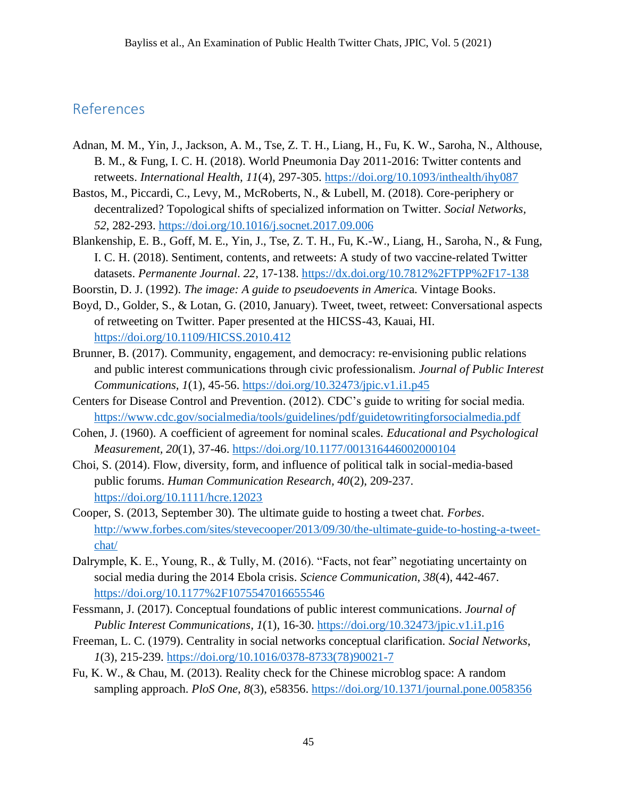# References

- Adnan, M. M., Yin, J., Jackson, A. M., Tse, Z. T. H., Liang, H., Fu, K. W., Saroha, N., Althouse, B. M., & Fung, I. C. H. (2018). World Pneumonia Day 2011-2016: Twitter contents and retweets. *International Health, 11*(4), 297-305.<https://doi.org/10.1093/inthealth/ihy087>
- Bastos, M., Piccardi, C., Levy, M., McRoberts, N., & Lubell, M. (2018). Core-periphery or decentralized? Topological shifts of specialized information on Twitter. *Social Networks, 52*, 282-293.<https://doi.org/10.1016/j.socnet.2017.09.006>
- Blankenship, E. B., Goff, M. E., Yin, J., Tse, Z. T. H., Fu, K.-W., Liang, H., Saroha, N., & Fung, I. C. H. (2018). Sentiment, contents, and retweets: A study of two vaccine-related Twitter datasets. *Permanente Journal*. *22*, 17-138.<https://dx.doi.org/10.7812%2FTPP%2F17-138>
- Boorstin, D. J. (1992). *The image: A guide to pseudoevents in Americ*a. Vintage Books.
- Boyd, D., Golder, S., & Lotan, G. (2010, January). Tweet, tweet, retweet: Conversational aspects of retweeting on Twitter. Paper presented at the HICSS-43, Kauai, HI. <https://doi.org/10.1109/HICSS.2010.412>
- Brunner, B. (2017). Community, engagement, and democracy: re-envisioning public relations and public interest communications through civic professionalism. *Journal of Public Interest Communications, 1*(1), 45-56.<https://doi.org/10.32473/jpic.v1.i1.p45>
- Centers for Disease Control and Prevention. (2012). CDC's guide to writing for social media. <https://www.cdc.gov/socialmedia/tools/guidelines/pdf/guidetowritingforsocialmedia.pdf>
- Cohen, J. (1960). A coefficient of agreement for nominal scales. *Educational and Psychological Measurement, 20*(1), 37-46.<https://doi.org/10.1177/001316446002000104>
- Choi, S. (2014). Flow, diversity, form, and influence of political talk in social-media-based public forums. *Human Communication Research, 40*(2), 209-237. <https://doi.org/10.1111/hcre.12023>
- Cooper, S. (2013, September 30). The ultimate guide to hosting a tweet chat. *Forbes*. [http://www.forbes.com/sites/stevecooper/2013/09/30/the-ultimate-guide-to-hosting-a-tweet](http://www.forbes.com/sites/stevecooper/2013/09/30/the-ultimate-guide-to-hosting-a-tweet-chat/)[chat/](http://www.forbes.com/sites/stevecooper/2013/09/30/the-ultimate-guide-to-hosting-a-tweet-chat/)
- Dalrymple, K. E., Young, R., & Tully, M. (2016). "Facts, not fear" negotiating uncertainty on social media during the 2014 Ebola crisis. *Science Communication, 38*(4), 442-467. <https://doi.org/10.1177%2F1075547016655546>
- Fessmann, J. (2017). Conceptual foundations of public interest communications. *Journal of Public Interest Communications, 1(1), 16-30.*<https://doi.org/10.32473/jpic.v1.i1.p16>
- Freeman, L. C. (1979). Centrality in social networks conceptual clarification. *Social Networks*, *1*(3), 215-239. [https://doi.org/10.1016/0378-8733\(78\)90021-7](https://doi.org/10.1016/0378-8733(78)90021-7)
- Fu, K. W., & Chau, M. (2013). Reality check for the Chinese microblog space: A random sampling approach. *PloS One*, *8*(3), e58356.<https://doi.org/10.1371/journal.pone.0058356>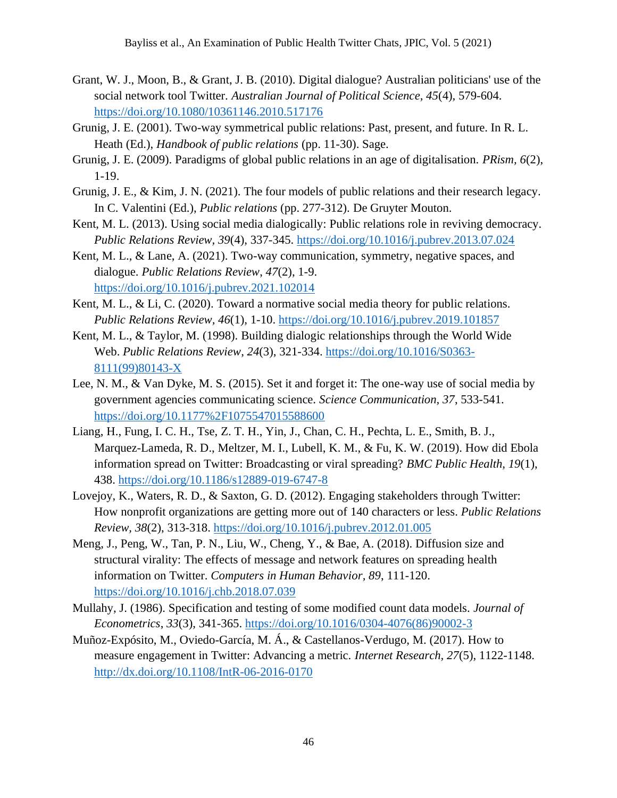- Grant, W. J., Moon, B., & Grant, J. B. (2010). Digital dialogue? Australian politicians' use of the social network tool Twitter. *Australian Journal of Political Science, 45*(4), 579-604. <https://doi.org/10.1080/10361146.2010.517176>
- Grunig, J. E. (2001). Two-way symmetrical public relations: Past, present, and future. In R. L. Heath (Ed.), *Handbook of public relations* (pp. 11-30). Sage.
- Grunig, J. E. (2009). Paradigms of global public relations in an age of digitalisation. *PRism, 6*(2), 1-19.
- Grunig, J. E., & Kim, J. N. (2021). The four models of public relations and their research legacy. In C. Valentini (Ed.), *Public relations* (pp. 277-312). De Gruyter Mouton.
- Kent, M. L. (2013). Using social media dialogically: Public relations role in reviving democracy. *Public Relations Review, 39*(4), 337-345.<https://doi.org/10.1016/j.pubrev.2013.07.024>
- Kent, M. L., & Lane, A. (2021). Two-way communication, symmetry, negative spaces, and dialogue. *Public Relations Review*, *47*(2), 1-9. <https://doi.org/10.1016/j.pubrev.2021.102014>
- Kent, M. L., & Li, C. (2020). Toward a normative social media theory for public relations. *Public Relations Review, 46*(1), 1-10. <https://doi.org/10.1016/j.pubrev.2019.101857>
- Kent, M. L., & Taylor, M. (1998). Building dialogic relationships through the World Wide Web. *Public Relations Review*, *24*(3), 321-334. [https://doi.org/10.1016/S0363-](https://doi.org/10.1016/S0363-8111(99)80143-X) [8111\(99\)80143-X](https://doi.org/10.1016/S0363-8111(99)80143-X)
- Lee, N. M., & Van Dyke, M. S. (2015). Set it and forget it: The one-way use of social media by government agencies communicating science. *Science Communication, 37*, 533-541. <https://doi.org/10.1177%2F1075547015588600>
- Liang, H., Fung, I. C. H., Tse, Z. T. H., Yin, J., Chan, C. H., Pechta, L. E., Smith, B. J., Marquez-Lameda, R. D., Meltzer, M. I., Lubell, K. M., & Fu, K. W. (2019). How did Ebola information spread on Twitter: Broadcasting or viral spreading? *BMC Public Health, 19*(1), 438.<https://doi.org/10.1186/s12889-019-6747-8>
- Lovejoy, K., Waters, R. D., & Saxton, G. D. (2012). Engaging stakeholders through Twitter: How nonprofit organizations are getting more out of 140 characters or less. *Public Relations Review, 38*(2), 313-318.<https://doi.org/10.1016/j.pubrev.2012.01.005>
- Meng, J., Peng, W., Tan, P. N., Liu, W., Cheng, Y., & Bae, A. (2018). Diffusion size and structural virality: The effects of message and network features on spreading health information on Twitter. *Computers in Human Behavior, 89*, 111-120. <https://doi.org/10.1016/j.chb.2018.07.039>
- Mullahy, J. (1986). Specification and testing of some modified count data models. *Journal of Econometrics*, *33*(3), 341-365. [https://doi.org/10.1016/0304-4076\(86\)90002-3](https://doi.org/10.1016/0304-4076(86)90002-3)
- Muñoz-Expósito, M., Oviedo-García, M. Á., & Castellanos-Verdugo, M. (2017). How to measure engagement in Twitter: Advancing a metric. *Internet Research, 27*(5), 1122-1148. <http://dx.doi.org/10.1108/IntR-06-2016-0170>